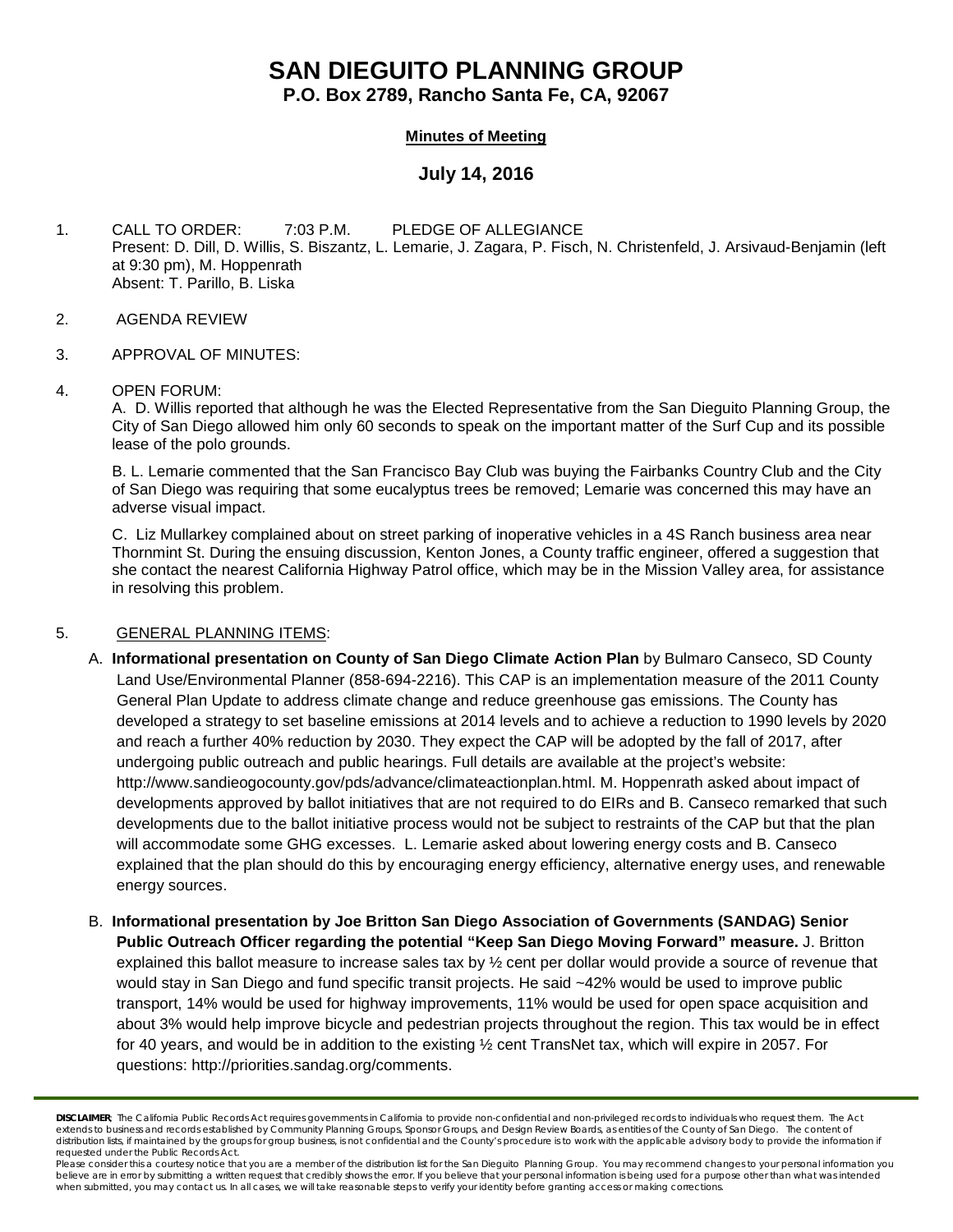# **SAN DIEGUITO PLANNING GROUP**

**P.O. Box 2789, Rancho Santa Fe, CA, 92067**

# **Minutes of Meeting**

# **July 14, 2016**

1. CALL TO ORDER: 7:03 P.M. PLEDGE OF ALLEGIANCE Present: D. Dill, D. Willis, S. Biszantz, L. Lemarie, J. Zagara, P. Fisch, N. Christenfeld, J. Arsivaud-Benjamin (left at 9:30 pm), M. Hoppenrath Absent: T. Parillo, B. Liska

- 2. AGENDA REVIEW
- 3. APPROVAL OF MINUTES:

#### 4. OPEN FORUM:

A. D. Willis reported that although he was the Elected Representative from the San Dieguito Planning Group, the City of San Diego allowed him only 60 seconds to speak on the important matter of the Surf Cup and its possible lease of the polo grounds.

B. L. Lemarie commented that the San Francisco Bay Club was buying the Fairbanks Country Club and the City of San Diego was requiring that some eucalyptus trees be removed; Lemarie was concerned this may have an adverse visual impact.

C. Liz Mullarkey complained about on street parking of inoperative vehicles in a 4S Ranch business area near Thornmint St. During the ensuing discussion, Kenton Jones, a County traffic engineer, offered a suggestion that she contact the nearest California Highway Patrol office, which may be in the Mission Valley area, for assistance in resolving this problem.

## 5. GENERAL PLANNING ITEMS:

- A. **Informational presentation on County of San Diego Climate Action Plan** by Bulmaro Canseco, SD County Land Use/Environmental Planner (858-694-2216). This CAP is an implementation measure of the 2011 County General Plan Update to address climate change and reduce greenhouse gas emissions. The County has developed a strategy to set baseline emissions at 2014 levels and to achieve a reduction to 1990 levels by 2020 and reach a further 40% reduction by 2030. They expect the CAP will be adopted by the fall of 2017, after undergoing public outreach and public hearings. Full details are available at the project's website: [http://www.sandieogocounty.gov/pds/advance/climateactionplan.html.](http://www.sandieogocounty.gov/pds/advance/climateactionplan.html) M. Hoppenrath asked about impact of developments approved by ballot initiatives that are not required to do EIRs and B. Canseco remarked that such developments due to the ballot initiative process would not be subject to restraints of the CAP but that the plan will accommodate some GHG excesses. L. Lemarie asked about lowering energy costs and B. Canseco explained that the plan should do this by encouraging energy efficiency, alternative energy uses, and renewable energy sources.
- B. **Informational presentation by Joe Britton San Diego Association of Governments (SANDAG) Senior Public Outreach Officer regarding the potential "Keep San Diego Moving Forward" measure.** J. Britton explained this ballot measure to increase sales tax by ½ cent per dollar would provide a source of revenue that would stay in San Diego and fund specific transit projects. He said ~42% would be used to improve public transport, 14% would be used for highway improvements, 11% would be used for open space acquisition and about 3% would help improve bicycle and pedestrian projects throughout the region. This tax would be in effect for 40 years, and would be in addition to the existing ½ cent TransNet tax, which will expire in 2057. For questions: http://priorities.sandag.org/comments.

*DISCLAIMER; The California Public Records Act requires governments in California to provide non-confidential and non-privileged records to individuals who request them. The Act extends to business and records established by Community Planning Groups, Sponsor Groups, and Design Review Boards, as entities of the County of San Diego. The content of*  distribution lists, if maintained by the groups for group business, is not confidential and the County's procedure is to work with the applicable advisory body to provide the information if *requested under the Public Records Act.*

Please consider this a courtesy notice that you are a member of the distribution list for the San Dieguito Planning Group. You may recommend changes to your personal information you believe are in error by submitting a written request that credibly shows the error. If you believe that your personal information is being used for a purpose other than what was intended<br>when submitted, you may contact us.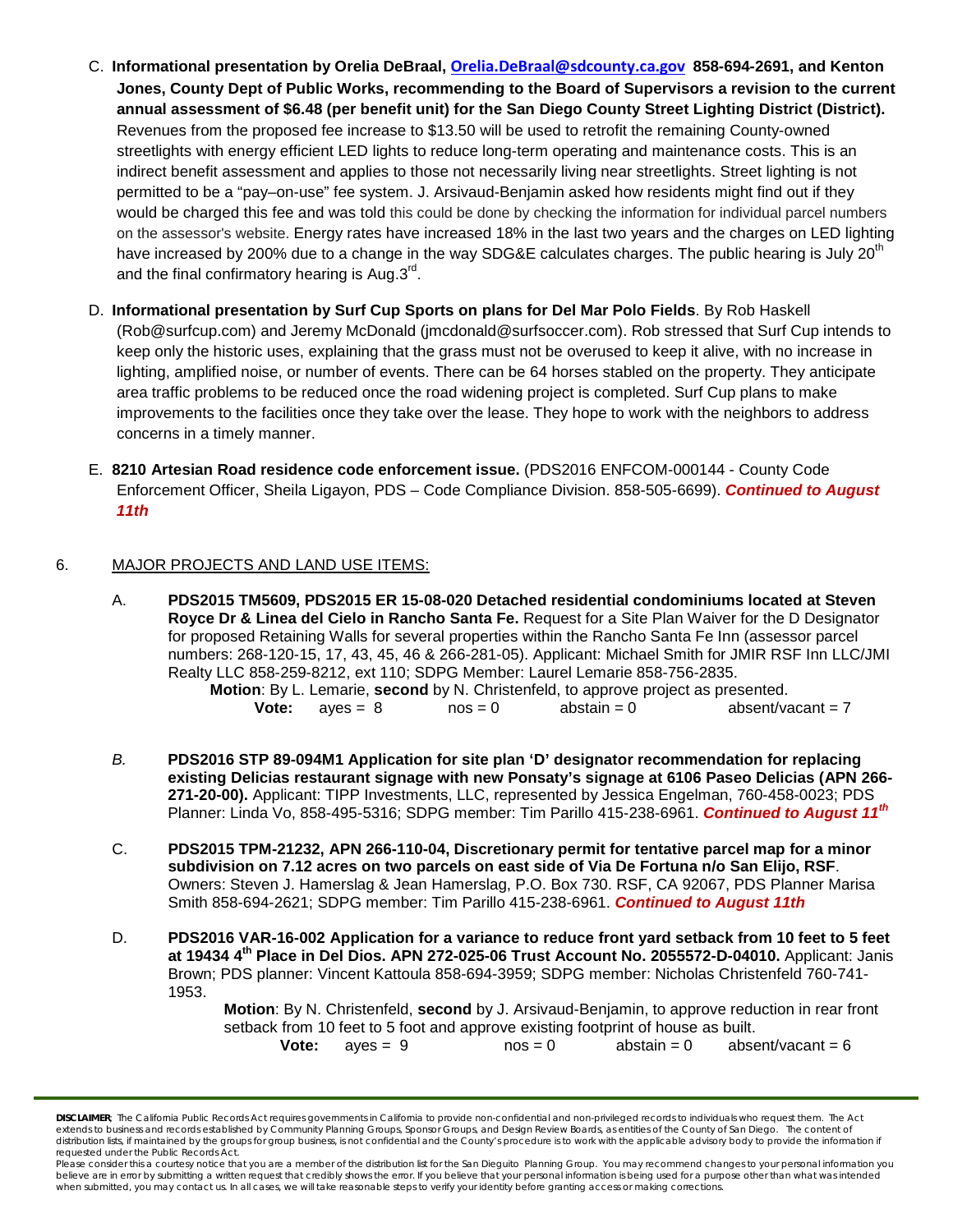- C. **Informational presentation by Orelia DeBraal, [Orelia.DeBraal@sdcounty.ca.gov](mailto:Orelia.DeBraal@sdcounty.ca.gov) 858-694-2691, and Kenton Jones, County Dept of Public Works, recommending to the Board of Supervisors a revision to the current annual assessment of \$6.48 (per benefit unit) for the San Diego County Street Lighting District (District).** Revenues from the proposed fee increase to \$13.50 will be used to retrofit the remaining County-owned streetlights with energy efficient LED lights to reduce long-term operating and maintenance costs. This is an indirect benefit assessment and applies to those not necessarily living near streetlights. Street lighting is not permitted to be a "pay–on-use" fee system. J. Arsivaud-Benjamin asked how residents might find out if they would be charged this fee and was told this could be done by checking the information for individual parcel numbers on the assessor's website. Energy rates have increased 18% in the last two years and the charges on LED lighting have increased by 200% due to a change in the way SDG&E calculates charges. The public hearing is July 20<sup>th</sup> and the final confirmatory hearing is Aug. $3<sup>rd</sup>$ .
- D. **Informational presentation by Surf Cup Sports on plans for Del Mar Polo Fields**. By Rob Haskell [\(Rob@surfcup.com\)](mailto:Rob@surfcup.com) and Jeremy McDonald (jmcdonald@surfsoccer.com). Rob stressed that Surf Cup intends to keep only the historic uses, explaining that the grass must not be overused to keep it alive, with no increase in lighting, amplified noise, or number of events. There can be 64 horses stabled on the property. They anticipate area traffic problems to be reduced once the road widening project is completed. Surf Cup plans to make improvements to the facilities once they take over the lease. They hope to work with the neighbors to address concerns in a timely manner.
- E. **8210 Artesian Road residence code enforcement issue.** (PDS2016 ENFCOM-000144 County Code Enforcement Officer, Sheila Ligayon, PDS – Code Compliance Division. 858-505-6699). *Continued to August 11th*

## 6. MAJOR PROJECTS AND LAND USE ITEMS:

A. **PDS2015 TM5609, PDS2015 ER 15-08-020 Detached residential condominiums located at Steven Royce Dr & Linea del Cielo in Rancho Santa Fe.** Request for a Site Plan Waiver for the D Designator for proposed Retaining Walls for several properties within the Rancho Santa Fe Inn (assessor parcel numbers: 268-120-15, 17, 43, 45, 46 & 266-281-05). Applicant: Michael Smith for JMIR RSF Inn LLC/JMI Realty LLC 858-259-8212, ext 110; SDPG Member: Laurel Lemarie 858-756-2835.

**Motion**: By L. Lemarie, **second** by N. Christenfeld, to approve project as presented. **Vote:**  $a$ yes =  $8$  nos =  $0$  abstain =  $0$  absent/vacant =  $7$ 

- *B.* **PDS2016 STP 89-094M1 Application for site plan 'D' designator recommendation for replacing existing Delicias restaurant signage with new Ponsaty's signage at 6106 Paseo Delicias (APN 266- 271-20-00).** Applicant: TIPP Investments, LLC, represented by Jessica Engelman, [760-458-0023;](tel:760-458-0023) PDS Planner: Linda Vo, [858-495-5316;](tel:858-495-5316) SDPG member: Tim Parillo [415-238-6961.](tel:415-238-6961) *Continued to August 11th*
- C. **PDS2015 TPM-21232, APN 266-110-04, Discretionary permit for tentative parcel map for a minor subdivision on 7.12 acres on two parcels on east side of Via De Fortuna n/o San Elijo, RSF**. Owners: Steven J. Hamerslag & Jean Hamerslag, P.O. Box 730. RSF, CA 92067, PDS Planner Marisa Smith 858-694-2621; SDPG member: Tim Parillo [415-238-6961.](tel:415-238-6961) *Continued to August 11th*
- D. **PDS2016 VAR-16-002 Application for a variance to reduce front yard setback from 10 feet to 5 feet at 19434 4th Place in Del Dios. APN 272-025-06 Trust Account No. 2055572-D-04010.** Applicant: Janis Brown; PDS planner: Vincent Kattoula 858-694-3959; SDPG member: Nicholas Christenfeld 760-741- 1953.

**Motion**: By N. Christenfeld, **second** by J. Arsivaud-Benjamin, to approve reduction in rear front setback from 10 feet to 5 foot and approve existing footprint of house as built. **Vote:**  $ayes = 9$   $nos = 0$   $abstant = 6$ 

*DISCLAIMER; The California Public Records Act requires governments in California to provide non-confidential and non-privileged records to individuals who request them. The Act*  extends to business and records established by Community Planning Groups, Sponsor Groups, and Design Review Boards, as entities of the County of San Diego. The content of distribution lists, if maintained by the groups for group business, is not confidential and the County's procedure is to work with the applicable advisory body to provide the information if *requested under the Public Records Act.*

Please consider this a courtesy notice that you are a member of the distribution list for the San Dieguito Planning Group. You may recommend changes to your personal information you believe are in error by submitting a written request that credibly shows the error. If you believe that your personal information is being used for a purpose other than what was intended<br>when submitted, you may contact us.